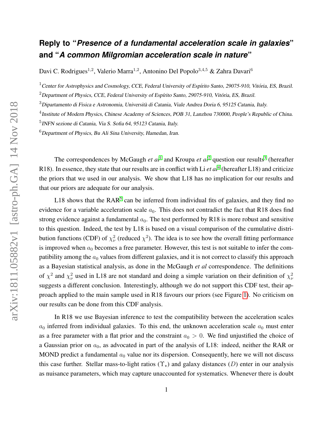## **Reply to "***Presence of a fundamental acceleration scale in galaxies***" and "***A common Milgromian acceleration scale in nature***"**

Davi C. Rodrigues<sup>1,2</sup>, Valerio Marra<sup>1,2</sup>, Antonino Del Popolo<sup>3,4,5</sup> & Zahra Davari<sup>6</sup>

 $1$ Center for Astrophysics and Cosmology, CCE, Federal University of Espírito Santo, 29075-910, Vitória, ES, Brazil.

 $2$ Department of Physics, CCE, Federal University of Espírito Santo, 29075-910, Vitória, ES, Brazil.

<sup>3</sup>Dipartamento di Fisica e Astronomia, Università di Catania, Viale Andrea Doria 6, 95125 Catania, Italy.

 $^4$ Institute of Modern Physics, Chinese Academy of Sciences, POB 31, Lanzhou 730000, People's Republic of China.

5 INFN sezione di Catania, Via S. Sofia 64, 95123 Catania, Italy.

 $6$ Department of Physics, Bu Ali Sina University, Hamedan, Iran.

The correspondences by McGaugh *et al*<sup>[1](#page-4-0)</sup> and Kroupa *et al*<sup>[2](#page-4-1)</sup> question our results<sup>[3](#page-4-2)</sup> (hereafter R18). In essence, they state that our results are in conflict with Li *et al*<sup>[4](#page-4-3)</sup> (hereafter L18) and criticize the priors that we used in our analysis. We show that L18 has no implication for our results and that our priors are adequate for our analysis.

L18 shows that the  $RAR^5$  $RAR^5$  can be inferred from individual fits of galaxies, and they find no evidence for a variable acceleration scale  $a_0$ . This does not contradict the fact that R18 does find strong evidence against a fundamental  $a_0$ . The test performed by R18 is more robust and sensitive to this question. Indeed, the test by L18 is based on a visual comparison of the cumulative distribution functions (CDF) of  $\chi^2_{\nu}$  (reduced  $\chi^2$ ). The idea is to see how the overall fitting performance is improved when  $a_0$  becomes a free parameter. However, this test is not suitable to infer the compatibility among the  $a_0$  values from different galaxies, and it is not correct to classify this approach as a Bayesian statistical analysis, as done in the McGaugh *et al* correspondence. The definitions of  $\chi^2$  and  $\chi^2_{\nu}$  used in L18 are not standard and doing a simple variation on their definition of  $\chi^2_{\nu}$ suggests a different conclusion. Interestingly, although we do not support this CDF test, their approach applied to the main sample used in R18 favours our priors (see Figure [1\)](#page-1-0). No criticism on our results can be done from this CDF analysis.

In R18 we use Bayesian inference to test the compatibility between the acceleration scales  $a_0$  inferred from individual galaxies. To this end, the unknown acceleration scale  $a_0$  must enter as a free parameter with a flat prior and the constraint  $a_0 > 0$ . We find unjustified the choice of a Gaussian prior on  $a_0$ , as advocated in part of the analysis of L18: indeed, neither the RAR or MOND predict a fundamental  $a_0$  value nor its dispersion. Consequently, here we will not discuss this case further. Stellar mass-to-light ratios  $(\Upsilon_{\star})$  and galaxy distances (D) enter in our analysis as nuisance parameters, which may capture unaccounted for systematics. Whenever there is doubt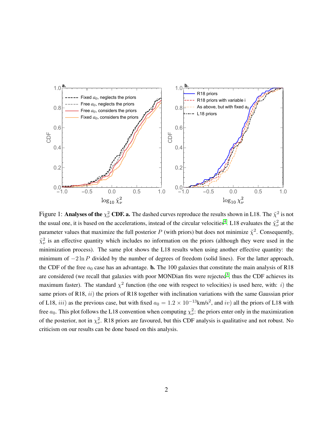<span id="page-1-0"></span>

Figure 1: Analyses of the  $\chi^2_\nu$  CDF. a. The dashed curves reproduce the results shown in L18. The  $\tilde\chi^2$  is not the usual one, it is based on the accelerations, instead of the circular velocities<sup>[4](#page-4-3)</sup>. L18 evaluates the  $\tilde{\chi}^2_\nu$  at the parameter values that maximize the full posterior P (with priors) but does not minimize  $\tilde{\chi}^2$ . Consequently,  $\tilde{\chi}^2_{\nu}$  is an effective quantity which includes no information on the priors (although they were used in the minimization process). The same plot shows the L18 results when using another effective quantity: the minimum of  $-2 \ln P$  divided by the number of degrees of freedom (solid lines). For the latter approach, the CDF of the free  $a_0$  case has an advantage. **b.** The 100 galaxies that constitute the main analysis of R18 are considered (we recall that galaxies with poor MONDian fits were rejected<sup>[3](#page-4-2)</sup>, thus the CDF achieves its maximum faster). The standard  $\chi^2$  function (the one with respect to velocities) is used here, with: *i*) the same priors of R18, *ii*) the priors of R18 together with inclination variations with the same Gaussian prior of L18, iii) as the previous case, but with fixed  $a_0 = 1.2 \times 10^{-13}$ km/s<sup>2</sup>, and iv) all the priors of L18 with free  $a_0$ . This plot follows the L18 convention when computing  $\chi^2_{\nu}$ : the priors enter only in the maximization of the posterior, not in  $\chi^2_{\nu}$ . R18 priors are favoured, but this CDF analysis is qualitative and not robust. No criticism on our results can be done based on this analysis.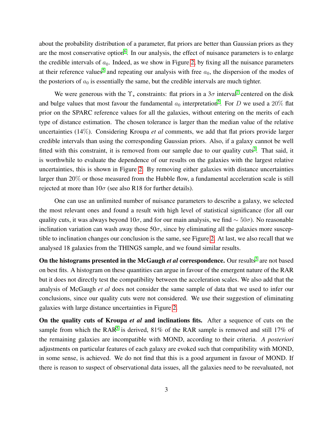about the probability distribution of a parameter, flat priors are better than Gaussian priors as they are the most conservative option<sup>[6](#page-4-5)</sup>. In our analysis, the effect of nuisance parameters is to enlarge the credible intervals of  $a_0$ . Indeed, as we show in Figure [2,](#page-3-0) by fixing all the nuisance parameters at their reference values<sup>[5](#page-4-4)</sup> and repeating our analysis with free  $a_0$ , the dispersion of the modes of the posteriors of  $a_0$  is essentially the same, but the credible intervals are much tighter.

We were generous with the  $\Upsilon_{\star}$  constraints: flat priors in a  $3\sigma$  interval<sup>[7](#page-4-6)</sup> centered on the disk and bulge values that most favour the fundamental  $a_0$  interpretation<sup>[5](#page-4-4)</sup>. For D we used a 20% flat prior on the SPARC reference values for all the galaxies, without entering on the merits of each type of distance estimation. The chosen tolerance is larger than the median value of the relative uncertainties (14%). Considering Kroupa *et al* comments, we add that flat priors provide larger credible intervals than using the corresponding Gaussian priors. Also, if a galaxy cannot be well fitted with this constraint, it is removed from our sample due to our quality cuts<sup>[3](#page-4-2)</sup>. That said, it is worthwhile to evaluate the dependence of our results on the galaxies with the largest relative uncertainties, this is shown in Figure [2.](#page-3-0) By removing either galaxies with distance uncertainties larger than 20% or those measured from the Hubble flow, a fundamental acceleration scale is still rejected at more than  $10\sigma$  (see also R18 for further details).

One can use an unlimited number of nuisance parameters to describe a galaxy, we selected the most relevant ones and found a result with high level of statistical significance (for all our quality cuts, it was always beyond 10 $\sigma$ , and for our main analysis, we find  $\sim$  50 $\sigma$ ). No reasonable inclination variation can wash away those  $50\sigma$ , since by eliminating all the galaxies more susceptible to inclination changes our conclusion is the same, see Figure [2.](#page-3-0) At last, we also recall that we analysed 18 galaxies from the THINGS sample, and we found similar results.

On the histograms presented in the McGaugh *et al* correspondence. Our results<sup>[3](#page-4-2)</sup> are not based on best fits. A histogram on these quantities can argue in favour of the emergent nature of the RAR but it does not directly test the compatibility between the acceleration scales. We also add that the analysis of McGaugh *et al* does not consider the same sample of data that we used to infer our conclusions, since our quality cuts were not considered. We use their suggestion of eliminating galaxies with large distance uncertainties in Figure [2.](#page-3-0)

On the quality cuts of Kroupa *et al* and inclinations fits. After a sequence of cuts on the sample from which the RAR<sup>[5](#page-4-4)</sup> is derived, 81% of the RAR sample is removed and still 17% of the remaining galaxies are incompatible with MOND, according to their criteria. *A posteriori* adjustments on particular features of each galaxy are evoked such that compatibility with MOND, in some sense, is achieved. We do not find that this is a good argument in favour of MOND. If there is reason to suspect of observational data issues, all the galaxies need to be reevaluated, not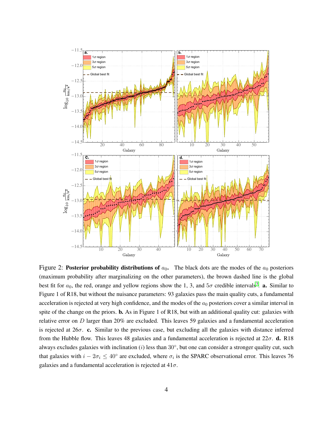<span id="page-3-0"></span>

Figure 2: Posterior probability distributions of  $a_0$ . The black dots are the modes of the  $a_0$  posteriors (maximum probability after marginalizing on the other parameters), the brown dashed line is the global best fit for  $a_0$ , the red, orange and yellow regions show the 1, 3, and  $5\sigma$  credible intervals<sup>3</sup>. **a.** Similar to Figure 1 of R18, but without the nuisance parameters: 93 galaxies pass the main quality cuts, a fundamental acceleration is rejected at very high confidence, and the modes of the  $a_0$  posteriors cover a similar interval in spite of the change on the priors. **b.** As in Figure 1 of R18, but with an additional quality cut: galaxies with relative error on  $D$  larger than 20% are excluded. This leaves 59 galaxies and a fundamental acceleration is rejected at  $26\sigma$ . c. Similar to the previous case, but excluding all the galaxies with distance inferred from the Hubble flow. This leaves 48 galaxies and a fundamental acceleration is rejected at  $22\sigma$ . **d.** R18 always excludes galaxies with inclination ( $i$ ) less than  $30^{\circ}$ , but one can consider a stronger quality cut, such that galaxies with  $i - 2\sigma_i \leq 40^{\circ}$  are excluded, where  $\sigma_i$  is the SPARC observational error. This leaves 76 galaxies and a fundamental acceleration is rejected at  $41\sigma$ .